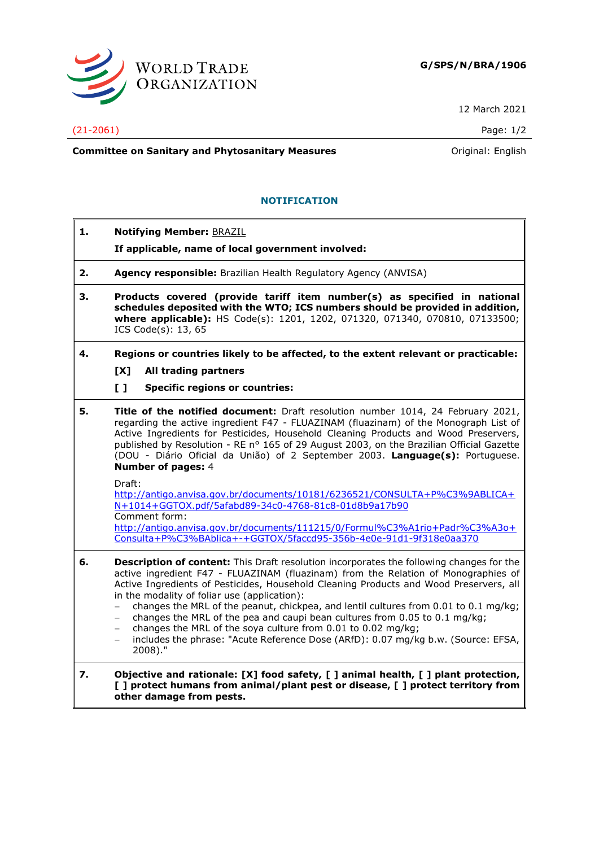

12 March 2021

## (21-2061) Page: 1/2

**Committee on Sanitary and Phytosanitary Measures Committee on Sanitary and Phytosanitary Measures Committee And American** 

## **NOTIFICATION**

**1. Notifying Member:** BRAZIL **If applicable, name of local government involved: 2. Agency responsible:** Brazilian Health Regulatory Agency (ANVISA) **3. Products covered (provide tariff item number(s) as specified in national schedules deposited with the WTO; ICS numbers should be provided in addition, where applicable):** HS Code(s): 1201, 1202, 071320, 071340, 070810, 07133500; ICS Code(s): 13, 65 **4. Regions or countries likely to be affected, to the extent relevant or practicable: [X] All trading partners [ ] Specific regions or countries: 5. Title of the notified document:** Draft resolution number 1014, 24 February 2021, regarding the active ingredient F47 - FLUAZINAM (fluazinam) of the Monograph List of Active Ingredients for Pesticides, Household Cleaning Products and Wood Preservers, published by Resolution - RE n° 165 of 29 August 2003, on the Brazilian Official Gazette (DOU - Diário Oficial da União) of 2 September 2003. **Language(s):** Portuguese. **Number of pages:** 4 Draft: [http://antigo.anvisa.gov.br/documents/10181/6236521/CONSULTA+P%C3%9ABLICA+](http://antigo.anvisa.gov.br/documents/10181/6236521/CONSULTA+P%C3%9ABLICA+N+1014+GGTOX.pdf/5afabd89-34c0-4768-81c8-01d8b9a17b90) [N+1014+GGTOX.pdf/5afabd89-34c0-4768-81c8-01d8b9a17b90](http://antigo.anvisa.gov.br/documents/10181/6236521/CONSULTA+P%C3%9ABLICA+N+1014+GGTOX.pdf/5afabd89-34c0-4768-81c8-01d8b9a17b90) Comment form: [http://antigo.anvisa.gov.br/documents/111215/0/Formul%C3%A1rio+Padr%C3%A3o+](http://antigo.anvisa.gov.br/documents/111215/0/Formul%C3%A1rio+Padr%C3%A3o+Consulta+P%C3%BAblica+-+GGTOX/5faccd95-356b-4e0e-91d1-9f318e0aa370) [Consulta+P%C3%BAblica+-+GGTOX/5faccd95-356b-4e0e-91d1-9f318e0aa370](http://antigo.anvisa.gov.br/documents/111215/0/Formul%C3%A1rio+Padr%C3%A3o+Consulta+P%C3%BAblica+-+GGTOX/5faccd95-356b-4e0e-91d1-9f318e0aa370) **6. Description of content:** This Draft resolution incorporates the following changes for the active ingredient F47 - FLUAZINAM (fluazinam) from the Relation of Monographies of Active Ingredients of Pesticides, Household Cleaning Products and Wood Preservers, all in the modality of foliar use (application): − changes the MRL of the peanut, chickpea, and lentil cultures from 0.01 to 0.1 mg/kg; changes the MRL of the pea and caupi bean cultures from 0.05 to 0.1 mg/kg; − changes the MRL of the soya culture from 0.01 to 0.02 mg/kg; − includes the phrase: "Acute Reference Dose (ARfD): 0.07 mg/kg b.w. (Source: EFSA, 2008)." **7. Objective and rationale: [X] food safety, [ ] animal health, [ ] plant protection, [ ] protect humans from animal/plant pest or disease, [ ] protect territory from other damage from pests.**